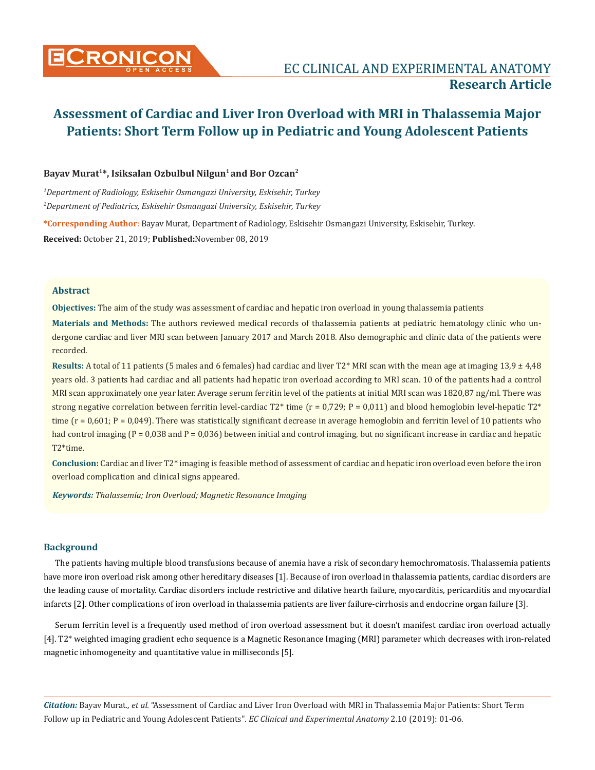

# Bayav Murat<sup>1\*</sup>, Isiksalan Ozbulbul Nilgun<sup>1</sup> and Bor Ozcan<sup>2</sup>

*1 Department of Radiology, Eskisehir Osmangazi University, Eskisehir, Turkey 2 Department of Pediatrics, Eskisehir Osmangazi University, Eskisehir, Turkey*

**\*Corresponding Author**: Bayav Murat, Department of Radiology, Eskisehir Osmangazi University, Eskisehir, Turkey. **Received:** October 21, 2019; **Published:**November 08, 2019

# **Abstract**

**Objectives:** The aim of the study was assessment of cardiac and hepatic iron overload in young thalassemia patients

**Materials and Methods:** The authors reviewed medical records of thalassemia patients at pediatric hematology clinic who undergone cardiac and liver MRI scan between January 2017 and March 2018. Also demographic and clinic data of the patients were recorded.

**Results:** A total of 11 patients (5 males and 6 females) had cardiac and liver T2\* MRI scan with the mean age at imaging 13,9 ± 4,48 years old. 3 patients had cardiac and all patients had hepatic iron overload according to MRI scan. 10 of the patients had a control MRI scan approximately one year later. Average serum ferritin level of the patients at initial MRI scan was 1820,87 ng/ml. There was strong negative correlation between ferritin level-cardiac T2\* time ( $r = 0.729$ ; P = 0.011) and blood hemoglobin level-hepatic T2\* time  $(r = 0.601; P = 0.049)$ . There was statistically significant decrease in average hemoglobin and ferritin level of 10 patients who had control imaging  $(P = 0.038$  and  $P = 0.036$ ) between initial and control imaging, but no significant increase in cardiac and hepatic T2\*time.

**Conclusion:** Cardiac and liver T2\* imaging is feasible method of assessment of cardiac and hepatic iron overload even before the iron overload complication and clinical signs appeared.

*Keywords: Thalassemia; Iron Overload; Magnetic Resonance Imaging*

# **Background**

The patients having multiple blood transfusions because of anemia have a risk of secondary hemochromatosis. Thalassemia patients have more iron overload risk among other hereditary diseases [1]. Because of iron overload in thalassemia patients, cardiac disorders are the leading cause of mortality. Cardiac disorders include restrictive and dilative hearth failure, myocarditis, pericarditis and myocardial infarcts [2]. Other complications of iron overload in thalassemia patients are liver failure-cirrhosis and endocrine organ failure [3].

Serum ferritin level is a frequently used method of iron overload assessment but it doesn't manifest cardiac iron overload actually [4]. T2\* weighted imaging gradient echo sequence is a Magnetic Resonance Imaging (MRI) parameter which decreases with iron-related magnetic inhomogeneity and quantitative value in milliseconds [5].

*Citation:* Bayav Murat*., et al.* "Assessment of Cardiac and Liver Iron Overload with MRI in Thalassemia Major Patients: Short Term Follow up in Pediatric and Young Adolescent Patients". *EC Clinical and Experimental Anatomy* 2.10 (2019): 01-06.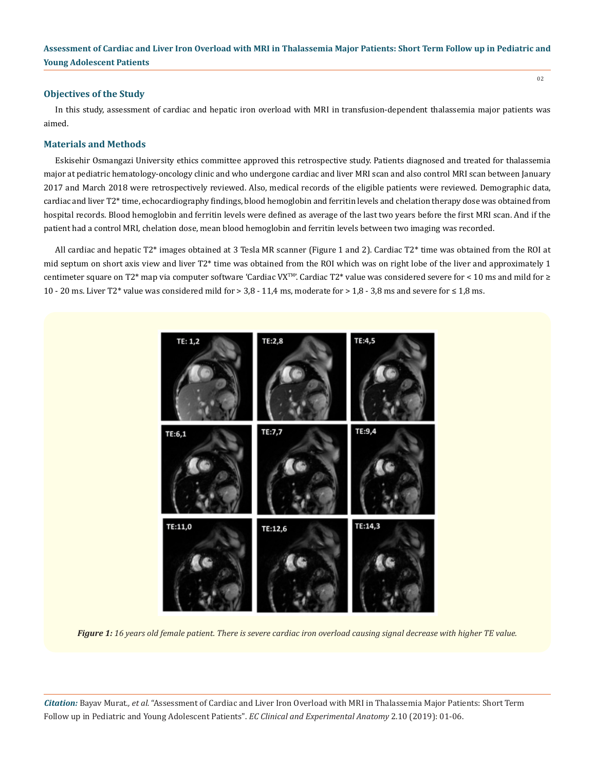#### **Objectives of the Study**

In this study, assessment of cardiac and hepatic iron overload with MRI in transfusion-dependent thalassemia major patients was aimed.

# **Materials and Methods**

Eskisehir Osmangazi University ethics committee approved this retrospective study. Patients diagnosed and treated for thalassemia major at pediatric hematology-oncology clinic and who undergone cardiac and liver MRI scan and also control MRI scan between January 2017 and March 2018 were retrospectively reviewed. Also, medical records of the eligible patients were reviewed. Demographic data, cardiac and liver T2\* time, echocardiography findings, blood hemoglobin and ferritin levels and chelation therapy dose was obtained from hospital records. Blood hemoglobin and ferritin levels were defined as average of the last two years before the first MRI scan. And if the patient had a control MRI, chelation dose, mean blood hemoglobin and ferritin levels between two imaging was recorded.

All cardiac and hepatic T2\* images obtained at 3 Tesla MR scanner (Figure 1 and 2). Cardiac T2\* time was obtained from the ROI at mid septum on short axis view and liver T2\* time was obtained from the ROI which was on right lobe of the liver and approximately 1 centimeter square on T2\* map via computer software 'Cardiac VXTM'. Cardiac T2\* value was considered severe for < 10 ms and mild for ≥ 10 - 20 ms. Liver T2\* value was considered mild for > 3,8 - 11,4 ms, moderate for > 1,8 - 3,8 ms and severe for ≤ 1,8 ms.



*Figure 1: 16 years old female patient. There is severe cardiac iron overload causing signal decrease with higher TE value.*

*Citation:* Bayav Murat*., et al.* "Assessment of Cardiac and Liver Iron Overload with MRI in Thalassemia Major Patients: Short Term Follow up in Pediatric and Young Adolescent Patients". *EC Clinical and Experimental Anatomy* 2.10 (2019): 01-06.

02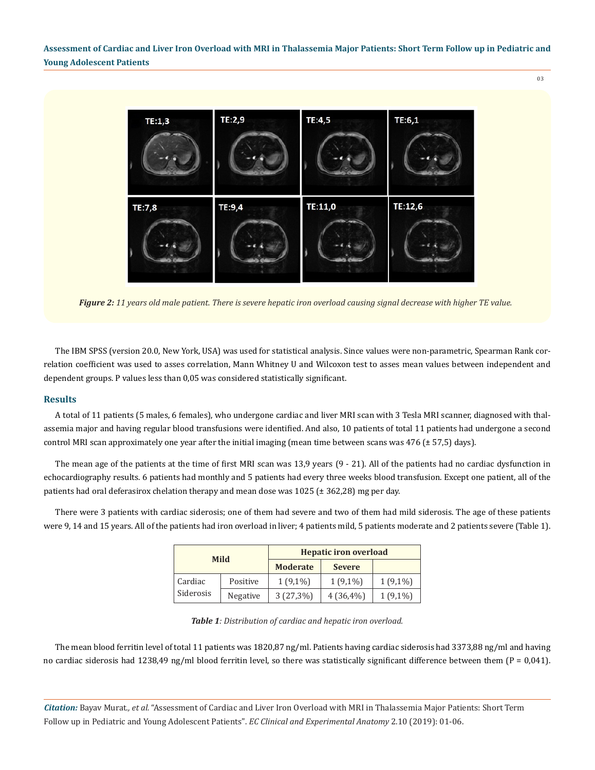

*Figure 2: 11 years old male patient. There is severe hepatic iron overload causing signal decrease with higher TE value.*

The IBM SPSS (version 20.0, New York, USA) was used for statistical analysis. Since values were non-parametric, Spearman Rank correlation coefficient was used to asses correlation, Mann Whitney U and Wilcoxon test to asses mean values between independent and dependent groups. P values less than 0,05 was considered statistically significant.

#### **Results**

A total of 11 patients (5 males, 6 females), who undergone cardiac and liver MRI scan with 3 Tesla MRI scanner, diagnosed with thalassemia major and having regular blood transfusions were identified. And also, 10 patients of total 11 patients had undergone a second control MRI scan approximately one year after the initial imaging (mean time between scans was 476 (± 57,5) days).

The mean age of the patients at the time of first MRI scan was 13,9 years (9 - 21). All of the patients had no cardiac dysfunction in echocardiography results. 6 patients had monthly and 5 patients had every three weeks blood transfusion. Except one patient, all of the patients had oral deferasirox chelation therapy and mean dose was  $1025$  ( $\pm$  362,28) mg per day.

There were 3 patients with cardiac siderosis; one of them had severe and two of them had mild siderosis. The age of these patients were 9, 14 and 15 years. All of the patients had iron overload in liver; 4 patients mild, 5 patients moderate and 2 patients severe (Table 1).

| <b>Mild</b>          |          | <b>Hepatic iron overload</b> |               |            |
|----------------------|----------|------------------------------|---------------|------------|
|                      |          | <b>Moderate</b>              | <b>Severe</b> |            |
| Cardiac<br>Siderosis | Positive | $1(9,1\%)$                   | $1(9,1\%)$    | $1(9,1\%)$ |
|                      | Negative | $3(27,3\%)$                  | $4(36,4\%)$   | $1(9,1\%)$ |

| <b>Table 1</b> : Distribution of cardiac and hepatic iron overload. |  |  |  |
|---------------------------------------------------------------------|--|--|--|
|---------------------------------------------------------------------|--|--|--|

The mean blood ferritin level of total 11 patients was 1820,87 ng/ml. Patients having cardiac siderosis had 3373,88 ng/ml and having no cardiac siderosis had 1238,49 ng/ml blood ferritin level, so there was statistically significant difference between them  $(P = 0.041)$ .

*Citation:* Bayav Murat*., et al.* "Assessment of Cardiac and Liver Iron Overload with MRI in Thalassemia Major Patients: Short Term Follow up in Pediatric and Young Adolescent Patients". *EC Clinical and Experimental Anatomy* 2.10 (2019): 01-06.

03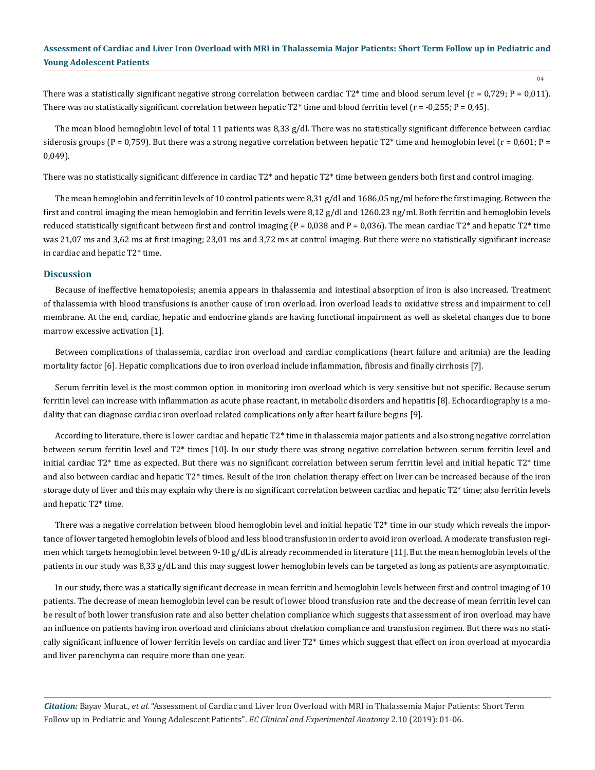04

There was a statistically significant negative strong correlation between cardiac  $T2*$  time and blood serum level ( $r = 0.729$ ;  $P = 0.011$ ). There was no statistically significant correlation between hepatic  $T2^*$  time and blood ferritin level (r = -0,255; P = 0,45).

The mean blood hemoglobin level of total 11 patients was 8,33 g/dl. There was no statistically significant difference between cardiac siderosis groups (P = 0,759). But there was a strong negative correlation between hepatic T2\* time and hemoglobin level (r = 0,601; P = 0,049).

There was no statistically significant difference in cardiac T2\* and hepatic T2\* time between genders both first and control imaging.

The mean hemoglobin and ferritin levels of 10 control patients were 8,31 g/dl and 1686,05 ng/ml before the first imaging. Between the first and control imaging the mean hemoglobin and ferritin levels were 8,12 g/dl and 1260.23 ng/ml. Both ferritin and hemoglobin levels reduced statistically significant between first and control imaging ( $P = 0.038$  and  $P = 0.036$ ). The mean cardiac  $T2^*$  and hepatic  $T2^*$  time was 21,07 ms and 3,62 ms at first imaging; 23,01 ms and 3,72 ms at control imaging. But there were no statistically significant increase in cardiac and hepatic T2\* time.

#### **Discussion**

Because of ineffective hematopoiesis; anemia appears in thalassemia and intestinal absorption of iron is also increased. Treatment of thalassemia with blood transfusions is another cause of iron overload. İron overload leads to oxidative stress and impairment to cell membrane. At the end, cardiac, hepatic and endocrine glands are having functional impairment as well as skeletal changes due to bone marrow excessive activation [1].

Between complications of thalassemia, cardiac iron overload and cardiac complications (heart failure and aritmia) are the leading mortality factor [6]. Hepatic complications due to iron overload include inflammation, fibrosis and finally cirrhosis [7].

Serum ferritin level is the most common option in monitoring iron overload which is very sensitive but not specific. Because serum ferritin level can increase with inflammation as acute phase reactant, in metabolic disorders and hepatitis [8]. Echocardiography is a modality that can diagnose cardiac iron overload related complications only after heart failure begins [9].

According to literature, there is lower cardiac and hepatic T2\* time in thalassemia major patients and also strong negative correlation between serum ferritin level and T2\* times [10]. In our study there was strong negative correlation between serum ferritin level and initial cardiac T2\* time as expected. But there was no significant correlation between serum ferritin level and initial hepatic T2\* time and also between cardiac and hepatic T2\* times. Result of the iron chelation therapy effect on liver can be increased because of the iron storage duty of liver and this may explain why there is no significant correlation between cardiac and hepatic T2\* time; also ferritin levels and hepatic T2\* time.

There was a negative correlation between blood hemoglobin level and initial hepatic T2\* time in our study which reveals the importance of lower targeted hemoglobin levels of blood and less blood transfusion in order to avoid iron overload. A moderate transfusion regimen which targets hemoglobin level between 9-10 g/dL is already recommended in literature [11]. But the mean hemoglobin levels of the patients in our study was 8,33 g/dL and this may suggest lower hemoglobin levels can be targeted as long as patients are asymptomatic.

In our study, there was a statically significant decrease in mean ferritin and hemoglobin levels between first and control imaging of 10 patients. The decrease of mean hemoglobin level can be result of lower blood transfusion rate and the decrease of mean ferritin level can be result of both lower transfusion rate and also better chelation compliance which suggests that assessment of iron overload may have an influence on patients having iron overload and clinicians about chelation compliance and transfusion regimen. But there was no statically significant influence of lower ferritin levels on cardiac and liver T2\* times which suggest that effect on iron overload at myocardia and liver parenchyma can require more than one year.

*Citation:* Bayav Murat*., et al.* "Assessment of Cardiac and Liver Iron Overload with MRI in Thalassemia Major Patients: Short Term Follow up in Pediatric and Young Adolescent Patients". *EC Clinical and Experimental Anatomy* 2.10 (2019): 01-06.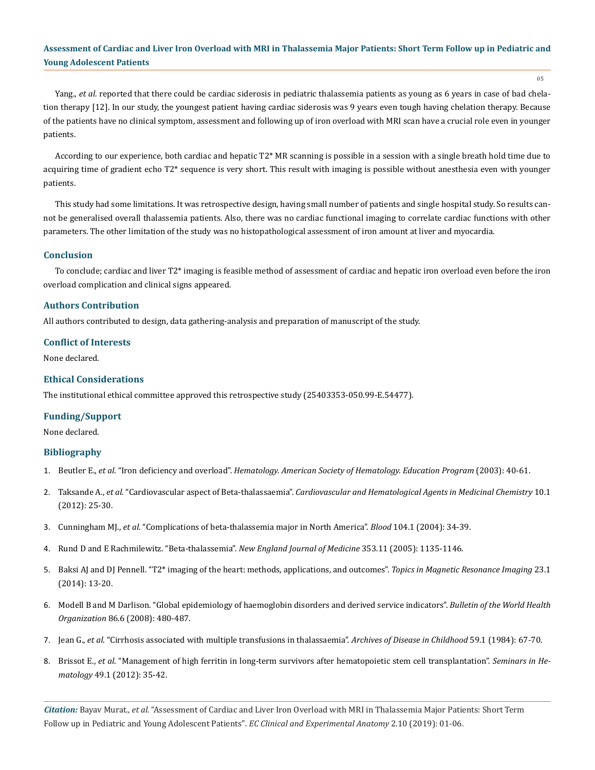05

Yang., *et al.* reported that there could be cardiac siderosis in pediatric thalassemia patients as young as 6 years in case of bad chelation therapy [12]. In our study, the youngest patient having cardiac siderosis was 9 years even tough having chelation therapy. Because of the patients have no clinical symptom, assessment and following up of iron overload with MRI scan have a crucial role even in younger patients.

According to our experience, both cardiac and hepatic T2\* MR scanning is possible in a session with a single breath hold time due to acquiring time of gradient echo T2\* sequence is very short. This result with imaging is possible without anesthesia even with younger patients.

This study had some limitations. It was retrospective design, having small number of patients and single hospital study. So results cannot be generalised overall thalassemia patients. Also, there was no cardiac functional imaging to correlate cardiac functions with other parameters. The other limitation of the study was no histopathological assessment of iron amount at liver and myocardia.

# **Conclusion**

To conclude; cardiac and liver T2\* imaging is feasible method of assessment of cardiac and hepatic iron overload even before the iron overload complication and clinical signs appeared.

# **Authors Contribution**

All authors contributed to design, data gathering-analysis and preparation of manuscript of the study.

# **Conflict of Interests**

None declared.

# **Ethical Considerations**

The institutional ethical committee approved this retrospective study (25403353-050.99-E.54477).

# **Funding/Support**

None declared.

# **Bibliography**

- 1. Beutler E., *et al*. "Iron deficiency and overload". *[Hematology. American Society of Hematology. Education Program](https://www.ncbi.nlm.nih.gov/pubmed/14633776)* (2003): 40-61.
- 2. Taksande A., *et al*. "Cardiovascular aspect of Beta-thalassaemia". *[Cardiovascular and Hematological Agents in Medicinal Chemistry](https://www.ncbi.nlm.nih.gov/pubmed/22239492)* 10.1 [\(2012\): 25-30.](https://www.ncbi.nlm.nih.gov/pubmed/22239492)
- 3. Cunningham MJ., *et al*[. "Complications of beta-thalassemia major in North America".](https://www.ncbi.nlm.nih.gov/pubmed/14988152) *Blood* 104.1 (2004): 34-39.
- 4. [Rund D and E Rachmilewitz. "Beta-thalassemia".](https://www.ncbi.nlm.nih.gov/pubmed/16162884) *New England Journal of Medicine* 353.11 (2005): 1135-1146.
- 5. [Baksi AJ and DJ Pennell. "T2\\* imaging of the heart: methods, applications, and outcomes".](https://www.ncbi.nlm.nih.gov/pubmed/24509620) *Topics in Magnetic Resonance Imaging* 23.1 [\(2014\): 13-20.](https://www.ncbi.nlm.nih.gov/pubmed/24509620)
- 6. [Modell B and M Darlison. "Global epidemiology of haemoglobin disorders and derived service indicators".](https://www.ncbi.nlm.nih.gov/pubmed/18568278) *Bulletin of the World Health Organization* [86.6 \(2008\): 480-487.](https://www.ncbi.nlm.nih.gov/pubmed/18568278)
- 7. Jean G., *et al*[. "Cirrhosis associated with multiple transfusions in thalassaemia".](https://www.ncbi.nlm.nih.gov/pmc/articles/PMC1628419/) *Archives of Disease in Childhood* 59.1 (1984): 67-70.
- 8. Brissot E., *et al*[. "Management of high ferritin in long-term survivors after hematopoietic stem cell transplantation".](https://www.ncbi.nlm.nih.gov/pubmed/22221783) *Seminars in Hematology* [49.1 \(2012\): 35-42.](https://www.ncbi.nlm.nih.gov/pubmed/22221783)

*Citation:* Bayav Murat*., et al.* "Assessment of Cardiac and Liver Iron Overload with MRI in Thalassemia Major Patients: Short Term Follow up in Pediatric and Young Adolescent Patients". *EC Clinical and Experimental Anatomy* 2.10 (2019): 01-06.